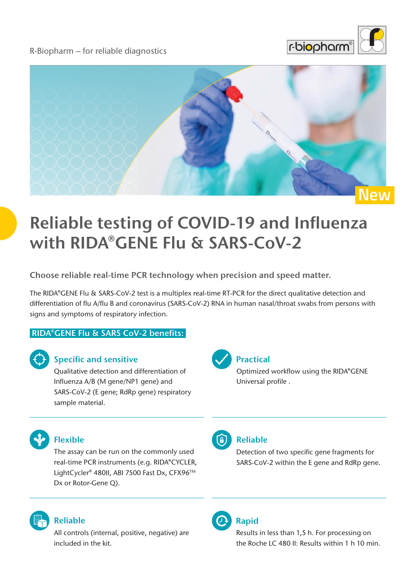R-Biopharm – for reliable diagnostics





# **Reliable testing of COVID-19 and Influenza with RIDA®GENE Flu & SARS-CoV-2**

**Choose reliable real-time PCR technology when precision and speed matter.**

The RIDA®GENE Flu & SARS-CoV-2 test is a multiplex real-time RT-PCR for the direct qualitative detection and differentiation of flu A/flu B and coronavirus (SARS-CoV-2) RNA in human nasal/throat swabs from persons with signs and symptoms of respiratory infection.

#### **RIDA®GENE Flu & SARS CoV-2 benefits:**



#### **Specific and sensitive**

Qualitative detection and differentiation of Influenza A/B (M gene/NP1 gene) and SARS-CoV-2 (E gene; RdRp gene) respiratory sample material.



#### **Practical**

Optimized workflow using the RIDA®GENE Universal profile .



#### **Flexible**

The assay can be run on the commonly used real-time PCR instruments (e.g. RIDA®CYCLER, LightCycler® 480II, ABI 7500 Fast Dx, CFX96™ Dx or Rotor-Gene Q).



#### **Reliable**

All controls (internal, positive, negative) are included in the kit.



#### **Reliable**

Detection of two specific gene fragments for SARS-CoV-2 within the E gene and RdRp gene.

### **Rapid**

Results in less than 1,5 h. For processing on the Roche LC 480 II: Results within 1 h 10 min.